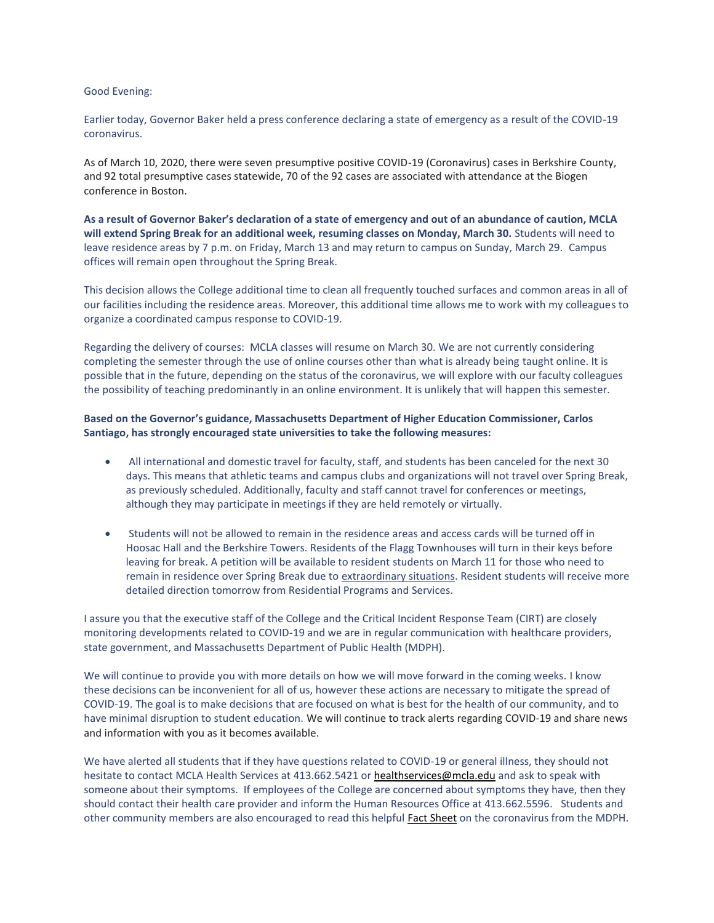## Good Evening:

Earlier today, Governor Baker held a press conference declaring a state of emergency as a result of the COVID-19 coronavirus.

As of March 10, 2020, there were seven presumptive positive COVID-19 (Coronavirus) cases in Berkshire County, and 92 total presumptive cases statewide, 70 of the 92 cases are associated with attendance at the Biogen conference in Boston.

**As a result of Governor Baker's declaration of a state of emergency and out of an abundance of caution, MCLA will extend Spring Break for an additional week, resuming classes on Monday, March 30.** Students will need to leave residence areas by 7 p.m. on Friday, March 13 and may return to campus on Sunday, March 29. Campus offices will remain open throughout the Spring Break.

This decision allows the College additional time to clean all frequently touched surfaces and common areas in all of our facilities including the residence areas. Moreover, this additional time allows me to work with my colleagues to organize a coordinated campus response to COVID-19.

Regarding the delivery of courses: MCLA classes will resume on March 30. We are not currently considering completing the semester through the use of online courses other than what is already being taught online. It is possible that in the future, depending on the status of the coronavirus, we will explore with our faculty colleagues the possibility of teaching predominantly in an online environment. It is unlikely that will happen this semester.

## **Based on the Governor's guidance, Massachusetts Department of Higher Education Commissioner, Carlos Santiago, has strongly encouraged state universities to take the following measures:**

- All international and domestic travel for faculty, staff, and students has been canceled for the next 30 days. This means that athletic teams and campus clubs and organizations will not travel over Spring Break, as previously scheduled. Additionally, faculty and staff cannot travel for conferences or meetings, although they may participate in meetings if they are held remotely or virtually.
- Students will not be allowed to remain in the residence areas and access cards will be turned off in Hoosac Hall and the Berkshire Towers. Residents of the Flagg Townhouses will turn in their keys before leaving for break. A petition will be available to resident students on March 11 for those who need to remain in residence over Spring Break due to extraordinary situations. Resident students will receive more detailed direction tomorrow from Residential Programs and Services.

I assure you that the executive staff of the College and the Critical Incident Response Team (CIRT) are closely monitoring developments related to COVID-19 and we are in regular communication with healthcare providers, state government, and Massachusetts Department of Public Health (MDPH).

We will continue to provide you with more details on how we will move forward in the coming weeks. I know these decisions can be inconvenient for all of us, however these actions are necessary to mitigate the spread of COVID-19. The goal is to make decisions that are focused on what is best for the health of our community, and to have minimal disruption to student education. We will continue to track alerts regarding COVID-19 and share news and information with you as it becomes available.

We have alerted all students that if they have questions related to COVID-19 or general illness, they should not hesitate to contact MCLA Health Services at 413.662.5421 or [healthservices@mcla.edu](mailto:healthservices@mcla.edu) and ask to speak with someone about their symptoms. If employees of the College are concerned about symptoms they have, then they should contact their health care provider and inform the Human Resources Office at 413.662.5596. Students and other community members are also encouraged to read this helpful Fact [Sheet](https://www.mass.gov/doc/english-2019-novel-coronavirus-2019-ncov-0/download) on the coronavirus from the MDPH.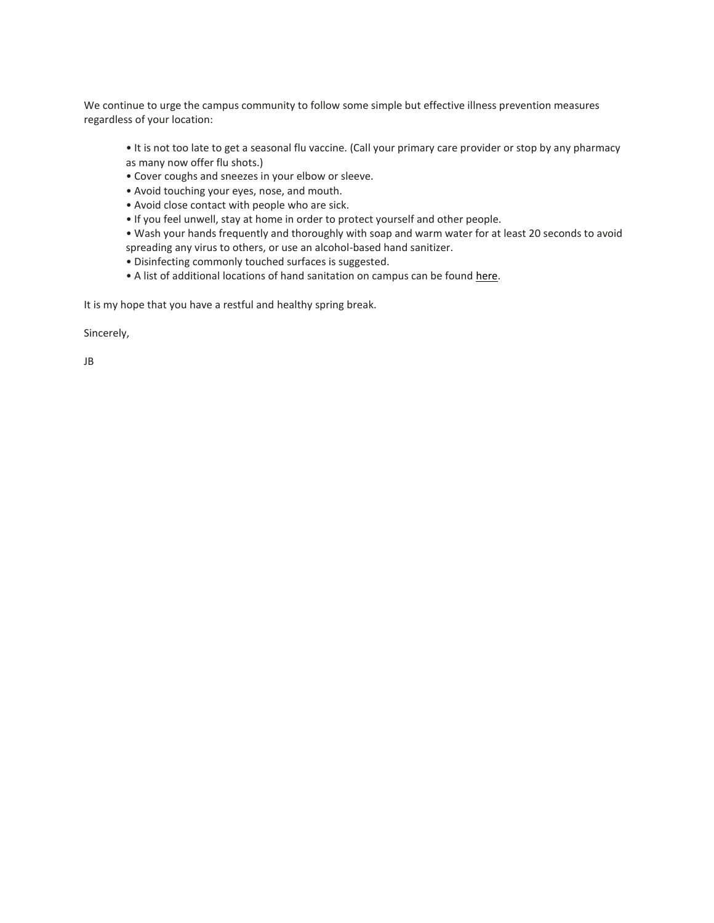We continue to urge the campus community to follow some simple but effective illness prevention measures regardless of your location:

• It is not too late to get a seasonal flu vaccine. (Call your primary care provider or stop by any pharmacy as many now offer flu shots.)

- Cover coughs and sneezes in your elbow or sleeve.
- Avoid touching your eyes, nose, and mouth.
- Avoid close contact with people who are sick.
- If you feel unwell, stay at home in order to protect yourself and other people.

• Wash your hands frequently and thoroughly with soap and warm water for at least 20 seconds to avoid spreading any virus to others, or use an alcohol-based hand sanitizer.

- Disinfecting commonly touched surfaces is suggested.
- A list of additional locations of hand sanitation on campus can be found [here.](http://www.mcla.edu/Assets/MCLA-Files/Student-Life/Wellness/HealthService/handsanitzer_PDF.pdf)

It is my hope that you have a restful and healthy spring break.

Sincerely,

JB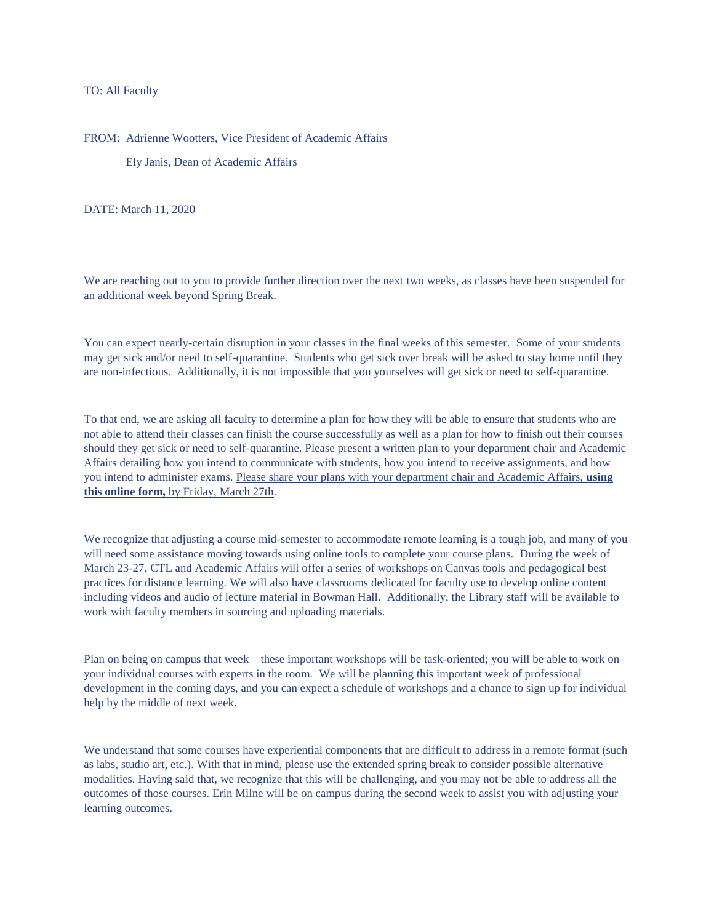TO: All Faculty

FROM: Adrienne Wootters, Vice President of Academic Affairs

Ely Janis, Dean of Academic Affairs

DATE: March 11, 2020

We are reaching out to you to provide further direction over the next two weeks, as classes have been suspended for an additional week beyond Spring Break.

You can expect nearly-certain disruption in your classes in the final weeks of this semester. Some of your students may get sick and/or need to self-quarantine. Students who get sick over break will be asked to stay home until they are non-infectious. Additionally, it is not impossible that you yourselves will get sick or need to self-quarantine.

To that end, we are asking all faculty to determine a plan for how they will be able to ensure that students who are not able to attend their classes can finish the course successfully as well as a plan for how to finish out their courses should they get sick or need to self-quarantine. Please present a written plan to your department chair and Academic Affairs detailing how you intend to communicate with students, how you intend to receive assignments, and how you intend to administer exams. Please share your plans with your department chair and Academic Affairs, **[using](https://forms.office.com/Pages/ResponsePage.aspx?id=Od0F6P3260SYcTtUmzD-VogCIS5FxNROmTZnMiefglVUNFVGVko2VTQ5NDU5RDU5QldTWkxBNE4zUC4u)  [this online form,](https://forms.office.com/Pages/ResponsePage.aspx?id=Od0F6P3260SYcTtUmzD-VogCIS5FxNROmTZnMiefglVUNFVGVko2VTQ5NDU5RDU5QldTWkxBNE4zUC4u)** by Friday, March 27th.

We recognize that adjusting a course mid-semester to accommodate remote learning is a tough job, and many of you will need some assistance moving towards using online tools to complete your course plans. During the week of March 23-27, CTL and Academic Affairs will offer a series of workshops on Canvas tools and pedagogical best practices for distance learning. We will also have classrooms dedicated for faculty use to develop online content including videos and audio of lecture material in Bowman Hall. Additionally, the Library staff will be available to work with faculty members in sourcing and uploading materials.

Plan on being on campus that week—these important workshops will be task-oriented; you will be able to work on your individual courses with experts in the room. We will be planning this important week of professional development in the coming days, and you can expect a schedule of workshops and a chance to sign up for individual help by the middle of next week.

We understand that some courses have experiential components that are difficult to address in a remote format (such as labs, studio art, etc.). With that in mind, please use the extended spring break to consider possible alternative modalities. Having said that, we recognize that this will be challenging, and you may not be able to address all the outcomes of those courses. Erin Milne will be on campus during the second week to assist you with adjusting your learning outcomes.